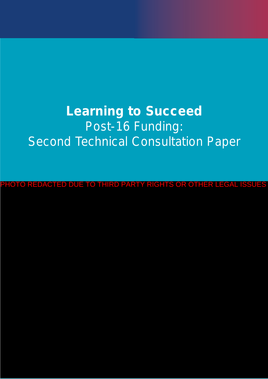# **Learning to Succeed** Post-16 Funding: **Second Technical Consultation Paper**

PHOTO REDACTED DUE TO THIRD PARTY RIGHTS OR OTHER LEGAL ISSUES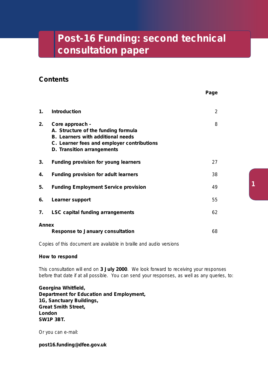### **Post-16 Funding: second technical consultation paper**

### **Contents**

| 1.    | <b>Introduction</b>                                                                                                                                                            | 2  |
|-------|--------------------------------------------------------------------------------------------------------------------------------------------------------------------------------|----|
| 2.    | Core approach -<br>A. Structure of the funding formula<br><b>B.</b> Learners with additional needs<br>C. Learner fees and employer contributions<br>D. Transition arrangements | 8  |
| 3.    | Funding provision for young learners                                                                                                                                           | 27 |
| 4.    | Funding provision for adult learners                                                                                                                                           | 38 |
| 5.    | <b>Funding Employment Service provision</b>                                                                                                                                    | 49 |
| 6.    | Learner support                                                                                                                                                                | 55 |
| 7.    | <b>LSC capital funding arrangements</b>                                                                                                                                        | 62 |
| Annex | <b>Response to January consultation</b>                                                                                                                                        | 68 |

Copies of this document are available in braille and audio versions

#### **How to respond**

This consultation will end on **3 July 2000**. We look forward to receiving your responses before that date if at all possible. You can send your responses, as well as any queries, to:

**Georgina Whitfield, Department for Education and Employment, 1G, Sanctuary Buildings, Great Smith Street, London SW1P 3BT.**

Or you can e-mail:

**post16.funding@dfee.gov.uk**

**Page**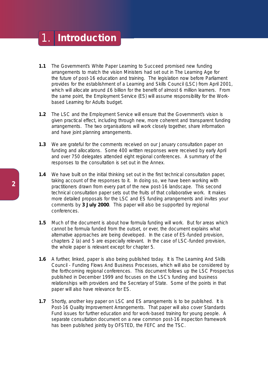### 1. **Introduction**

- **1.1** The Government's White Paper *Learning to Succeed* promised new funding arrangements to match the vision Ministers had set out in *The Learning Age* for the future of post-16 education and training. The legislation now before Parliament provides for the establishment of a Learning and Skills Council (LSC) from April 2001, which will allocate around £6 billion for the benefit of almost 6 million learners. From the same point, the Employment Service (ES) will assume responsibility for the Workbased Learning for Adults budget.
- **1.2** The LSC and the Employment Service will ensure that the Government's vision is given practical effect, including through new, more coherent and transparent funding arrangements. The two organisations will work closely together, share information and have joint planning arrangements.
- **1.3** We are grateful for the comments received on our January consultation paper on funding and allocations. Some 400 written responses were received by early April and over 750 delegates attended eight regional conferences. A summary of the responses to the consultation is set out in the Annex.
- **1.4** We have built on the initial thinking set out in the first technical consultation paper, taking account of the responses to it. In doing so, we have been working with practitioners drawn from every part of the new post-16 landscape. This second technical consultation paper sets out the fruits of that collaborative work. It makes more detailed proposals for the LSC and ES funding arrangements and invites your comments by **3 July 2000**. This paper will also be supported by regional conferences.
- **1.5** Much of the document is about how formula funding will work. But for areas which cannot be formula funded from the outset, or ever, the document explains what alternative approaches are being developed. In the case of ES-funded provision, chapters 2 (a) and 5 are especially relevant. In the case of LSC-funded provision, the whole paper is relevant except for chapter 5.
- **1.6** A further, linked, paper is also being published today. It is *The Learning And Skills Council - Funding Flows And Business Processes*, which will also be considered by the forthcoming regional conferences. This document follows up the LSC Prospectus published in December 1999 and focuses on the LSC's funding and business relationships with providers and the Secretary of State. Some of the points in that paper will also have relevance for ES.
- **1.7** Shortly, another key paper on LSC and ES arrangements is to be published. It is *Post-16 Quality Improvement Arrangements*. That paper will also cover Standards Fund issues for further education and for work-based training for young people. A separate consultation document on a new common post-16 inspection framework has been published jointly by OFSTED, the FEFC and the TSC.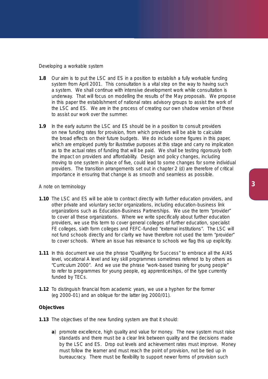#### *Developing a workable system*

- **1.8** Our aim is to put the LSC and ES in a position to establish a fully workable funding system from April 2001. This consultation is a vital step on the way to having such a system. We shall continue with intensive development work while consultation is underway. That will focus on modelling the results of the May proposals. We propose in this paper the establishment of national rates advisory groups to assist the work of the LSC and ES. We are in the process of creating our own shadow version of these to assist our work over the summer.
- **1.9** In the early autumn the LSC and ES should be in a position to consult providers on new funding rates for provision, from which providers will be able to calculate the broad effects on their future budgets. We do include some figures in this paper, which are employed purely for illustrative purposes at this stage and carry no implication as to the actual rates of funding that will be paid. We shall be testing rigorously both the impact on providers and affordability. Design and policy changes, including moving to one system in place of five, could lead to some changes for some individual providers. The transition arrangements set out in chapter 2 (d) are therefore of critical importance in ensuring that change is as smooth and seamless as possible.

#### *A note on terminology*

- **1.10** The LSC and ES will be able to contract directly with further education providers, and other private and voluntary sector organizations, including education-business link organizations such as Education-Business Partnerships. We use the term "provider" to cover all these organizations. Where we write specifically about further education providers, we use this term to cover general colleges of further education, specialist FE colleges, sixth form colleges and FEFC-funded "external institutions". The LSC will not fund schools directly and for clarity we have therefore not used the term "provider" to cover schools. Where an issue has relevance to schools we flag this up explicitly.
- **1.11** In this document we use the phrase "Qualifying for Success" to embrace all the A/AS level, vocational A level and key skill programmes sometimes referred to by others as "Curriculum 2000". And we use the phrase "work-based training for young people" to refer to programmes for young people, eg apprenticeships, of the type currently funded by TECs.
- **1.12** To distinguish financial from academic years, we use a hyphen for the former (eg 2000-01) and an oblique for the latter (eg 2000/01).

#### **Objectives**

- **1.13** The objectives of the new funding system are that it should:
	- **a**) *promote excellence, high quality and value for money*. The new system must raise standards and there must be a clear link between quality and the decisions made by the LSC and ES. Drop out levels and achievement rates must improve. Money must follow the learner and must reach the point of provision, not be tied up in bureaucracy. There must be flexibility to support newer forms of provision such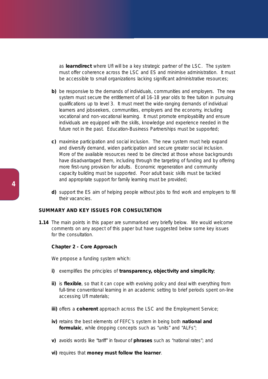as **learndirect** where UfI will be a key strategic partner of the LSC. The system must offer coherence across the LSC and ES and minimise administration. It must be accessible to small organizations lacking significant administrative resources;

- **b)** *be responsive to the demands of individuals, communities and employers*. The new system must secure the entitlement of all 16-18 year olds to free tuition in pursuing qualifications up to level 3. It must meet the wide-ranging demands of individual learners and jobseekers, communities, employers and the economy, including vocational and non-vocational learning. It must promote employability and ensure individuals are equipped with the skills, knowledge and experience needed in the future not in the past. Education-Business Partnerships must be supported;
- **c)** *maximise participation and social inclusion*. The new system must help expand and diversify demand, widen participation and secure greater social inclusion. More of the available resources need to be directed at those whose backgrounds have disadvantaged them, including through the targeting of funding and by offering more first-rung provision for adults. Economic regeneration and community capacity building must be supported. Poor adult basic skills must be tackled and appropriate support for family learning must be provided;
- **d)** *support the ES aim of helping people without jobs to find work and employers to fill their vacancies*.

#### **SUMMARY AND KEY ISSUES FOR CONSULTATION**

**1.14** The main points in this paper are summarised very briefly below. We would welcome comments on any aspect of this paper but have suggested below some key issues for the consultation.

#### **Chapter 2 - Core Approach**

We propose a funding system which:

- **i)** exemplifies the principles of **transparency, objectivity and simplicity**;
- **ii)** is **flexible**, so that it can cope with evolving policy and deal with everything from full-time conventional learning in an academic setting to brief periods spent on-line accessing UfI materials;
- **iii)** offers a **coherent** approach across the LSC and the Employment Service;
- **iv)** retains the best elements of FEFC's system in being both **national and formulaic**, while dropping concepts such as "units" and "ALFs";
- **v)** avoids words like "tariff" in favour of **phrases** such as "national rates"; and
- **vi)** requires that **money must follow the learner**.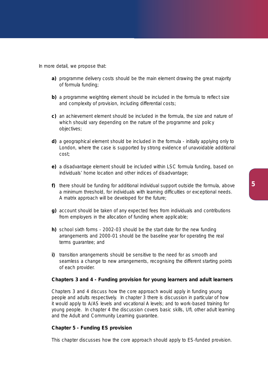In more detail, we propose that:

- **a)** programme delivery costs should be the main element drawing the great majority of formula funding;
- **b)** a programme weighting element should be included in the formula to reflect size and complexity of provision, including differential costs;
- **c)** an achievement element should be included in the formula, the size and nature of which should vary depending on the nature of the programme and policy objectives;
- **d)** a geographical element should be included in the formula initially applying only to London, where the case is supported by strong evidence of unavoidable additional cost;
- **e)** a disadvantage element should be included within LSC formula funding, based on individuals' home location and other indices of disadvantage;
- **f)** there should be funding for additional individual support outside the formula, above a minimum threshold, for individuals with learning difficulties or exceptional needs. A matrix approach will be developed for the future;
- **g)** account should be taken of any expected fees from individuals and contributions from employers in the allocation of funding where applicable;
- **h)** school sixth forms 2002-03 should be the start date for the new funding arrangements and 2000-01 should be the baseline year for operating the real terms guarantee; and
- **i)** transition arrangements should be sensitive to the need for as smooth and seamless a change to new arrangements, recognising the different starting points of each provider.

#### **Chapters 3 and 4 - Funding provision for young learners and adult learners**

Chapters 3 and 4 discuss how the core approach would apply in funding young people and adults respectively. In chapter 3 there is discussion in particular of how it would apply to A/AS levels and vocational A levels; and to work-based training for young people. In chapter 4 the discussion covers basic skills, UfI, other adult learning and the Adult and Community Learning guarantee.

#### **Chapter 5 - Funding ES provision**

This chapter discusses how the core approach should apply to ES-funded provision.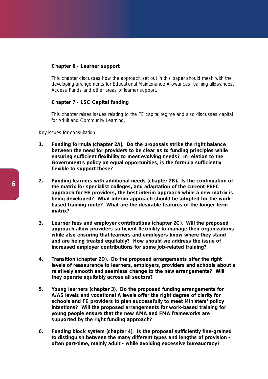#### **Chapter 6 - Learner support**

This chapter discusses how the approach set out in this paper should mesh with the developing arrangements for Educational Maintenance Allowances, training allowances, Access Funds and other areas of learner support.

#### **Chapter 7 - LSC Capital funding**

This chapter raises issues relating to the FE capital regime and also discusses capital for Adult and Community Learning.

#### *Key issues for consultation*

- **1. Funding formula (chapter 2A). Do the proposals strike the right balance between the need for providers to be clear as to funding principles while ensuring sufficient flexibility to meet evolving needs? In relation to the Government's policy on equal opportunities, is the formula sufficiently flexible to support these?**
- **2. Funding learners with additional needs (chapter 2B). Is the continuation of the matrix for specialist colleges, and adaptation of the current FEFC approach for FE providers, the best interim approach while a new matrix is being developed? What interim approach should be adopted for the workbased training route? What are the desirable features of the longer term matrix?**
- **3. Learner fees and employer contributions (chapter 2C). Will the proposed approach allow providers sufficient flexibility to manage their organizations while also ensuring that learners and employers know where they stand and are being treated equitably? How should we address the issue of increased employer contributions for some job-related training?**
- **4. Transition (chapter 2D). Do the proposed arrangements offer the right levels of reassurance to learners, employers, providers and schools about a relatively smooth and seamless change to the new arrangements? Will they operate equitably across all sectors?**
- **5. Young learners (chapter 3). Do the proposed funding arrangements for A/AS levels and vocational A levels offer the right degree of clarity for schools and FE providers to plan successfully to meet Ministers' policy intentions? Will the proposed arrangements for work-based training for young people ensure that the new AMA and FMA frameworks are supported by the right funding approach?**
- **6. Funding block system (chapter 4). Is the proposal sufficiently fine-grained to distinguish between the many different types and lengths of provision often part-time, mainly adult - while avoiding excessive bureaucracy?**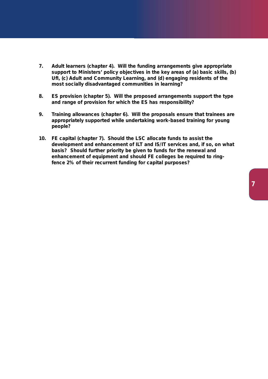- **7. Adult learners (chapter 4). Will the funding arrangements give appropriate support to Ministers' policy objectives in the key areas of (a) basic skills, (b) UfI, (c) Adult and Community Learning, and (d) engaging residents of the most socially disadvantaged communities in learning?**
- **8. ES provision (chapter 5). Will the proposed arrangements support the type and range of provision for which the ES has responsibility?**
- **9. Training allowances (chapter 6). Will the proposals ensure that trainees are appropriately supported while undertaking work-based training for young people?**
- **10. FE capital (chapter 7). Should the LSC allocate funds to assist the development and enhancement of ILT and IS/IT services and, if so, on what basis? Should further priority be given to funds for the renewal and enhancement of equipment and should FE colleges be required to ringfence 2% of their recurrent funding for capital purposes?**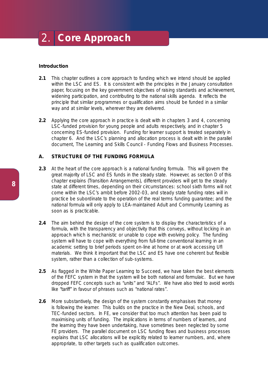## 2. **Core Approach**

#### **Introduction**

- **2.1** This chapter outlines a core approach to funding which we intend should be applied within the LSC and ES. It is consistent with the principles in the January consultation paper, focusing on the key government objectives of raising standards and achievement, widening participation, and contributing to the national skills agenda. It reflects the principle that similar programmes or qualification aims should be funded in a similar way and at similar levels, wherever they are delivered.
- **2.2** Applying the core approach in practice is dealt with in chapters 3 and 4, concerning LSC-funded provision for young people and adults respectively, and in chapter 5 concerning ES-funded provision. Funding for learner support is treated separately in chapter 6. And the LSC's planning and allocation process is dealt with in the parallel document, *The Learning and Skills Council - Funding Flows and Business Processes*.

#### **A. STRUCTURE OF THE FUNDING FORMULA**

- **2.3** At the heart of the core approach is a national funding formula. This will govern the great majority of LSC and ES funds in the steady state. However, as section D of this chapter explains (Transition Arrangements), different providers will get to the steady state at different times, depending on their circumstances: school sixth forms will not come within the LSC's ambit before 2002-03, and steady state funding rates will in practice be subordinate to the operation of the real terms funding guarantee; and the national formula will only apply to LEA-maintained Adult and Community Learning as soon as is practicable.
- **2.4** The aim behind the design of the core system is to display the characteristics of a formula, with the transparency and objectivity that this conveys, without locking in an approach which is mechanistic or unable to cope with evolving policy. The funding system will have to cope with everything from full-time conventional learning in an academic setting to brief periods spent on-line at home or at work accessing UfI materials. We think it important that the LSC and ES have one coherent but flexible system, rather than a collection of sub-systems.
- **2.5** As flagged in the White Paper *Learning to Succeed*, we have taken the best elements of the FEFC system in that the system will be both national and formulaic. But we have dropped FEFC concepts such as "units" and "ALFs". We have also tried to avoid words like "tariff" in favour of phrases such as "national rates".
- **2.6** More substantively, the design of the system constantly emphasises that money is following the learner. This builds on the practice in the New Deal, schools, and TEC-funded sectors. In FE, we consider that too much attention has been paid to maximising units of funding. The implications in terms of numbers of learners, and the learning they have been undertaking, have sometimes been neglected by some FE providers. The parallel document on LSC funding flows and business processes explains that LSC allocations will be explicitly related to learner numbers, and, where appropriate, to other targets such as qualification outcomes.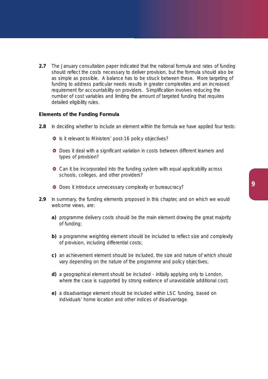**2.7** The January consultation paper indicated that the national formula and rates of funding should reflect the costs necessary to deliver provision, but the formula should also be as simple as possible. A balance has to be struck between these. More targeting of funding to address particular needs results in greater complexities and an increased requirement for accountability on providers. Simplification involves reducing the number of cost variables and limiting the amount of targeted funding that requires detailed eligibility rules.

#### **Elements of the Funding Formula**

- **2.8** In deciding whether to include an element within the formula we have applied four tests:
	- **In** Is it relevant to Ministers' post-16 policy objectives?
	- **O** Does it deal with a significant variation in costs between different learners and types of provision?
	- **O** Can it be incorporated into the funding system with equal applicability across schools, colleges, and other providers?
	- **O** Does it introduce unnecessary complexity or bureaucracy?
- **2.9** In summary, the funding elements proposed in this chapter, and on which we would welcome views, are:
	- **a)** programme delivery costs should be the main element drawing the great majority of funding;
	- **b)** a programme weighting element should be included to reflect size and complexity of provision, including differential costs;
	- **c)** an achievement element should be included, the size and nature of which should vary depending on the nature of the programme and policy objectives;
	- **d)** a geographical element should be included initially applying only to London, where the case is supported by strong evidence of unavoidable additional cost;
	- **e)** a disadvantage element should be included within LSC funding, based on individuals' home location and other indices of disadvantage.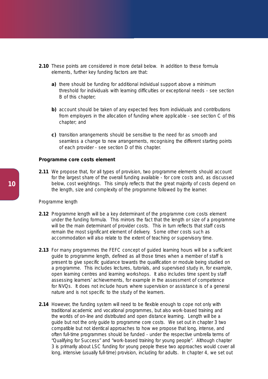- **2.10** These points are considered in more detail below. In addition to these formula elements, further key funding factors are that:
	- **a)** there should be funding for additional individual support above a minimum threshold for individuals with learning difficulties or exceptional needs - see section B of this chapter;
	- **b)** account should be taken of any expected fees from individuals and contributions from employers in the allocation of funding where applicable - see section C of this chapter; and
	- **c)** transition arrangements should be sensitive to the need for as smooth and seamless a change to new arrangements, recognising the different starting points of each provider - see section D of this chapter.

#### **Programme core costs element**

**2.11** We propose that, for all types of provision, two programme elements should account for the largest share of the overall funding available - for core costs and, as discussed below, cost weightings. This simply reflects that the great majority of costs depend on the length, size and complexity of the programme followed by the learner.

#### *Programme length*

- **2.12** Programme length will be a key determinant of the programme core costs element under the funding formula. This mirrors the fact that the length or size of a programme will be the main determinant of provider costs. This in turn reflects that staff costs remain the most significant element of delivery. Some other costs such as accommodation will also relate to the extent of teaching or supervisory time.
- **2.13** For many programmes the FEFC concept of quided learning hours will be a sufficient guide to programme length, defined as all those times when a member of staff is present to give specific guidance towards the qualification or module being studied on a programme. This includes lectures, tutorials, and supervised study in, for example, open learning centres and learning workshops. It also includes time spent by staff assessing learners' achievements, for example in the assessment of competence for NVQs. It does not include hours where supervision or assistance is of a general nature and is not specific to the study of the learners.
- **2.14** However, the funding system will need to be flexible enough to cope not only with traditional academic and vocational programmes, but also work-based training and the worlds of on-line and distributed and open distance learning. Length will be a guide but not the only guide to programme core costs. We set out in chapter 3 two compatible but not identical approaches to how we propose that long, intense, and often full-time programmes should be funded - under the respective umbrella terms of "Qualifying for Success" and "work-based training for young people". Although chapter 3 is primarily about LSC funding for young people these two approaches would cover all long, intensive (usually full-time) provision, including for adults. In chapter 4, we set out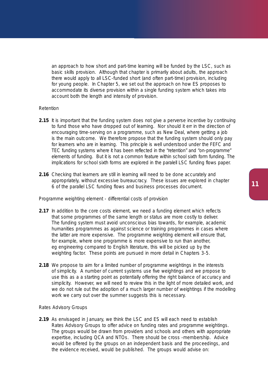an approach to how short and part-time learning will be funded by the LSC, such as basic skills provision. Although that chapter is primarily about adults, the approach there would apply to all LSC-funded short (and often part-time) provision, including for young people. In Chapter 5, we set out the approach on how ES proposes to accommodate its diverse provision within a single funding system which takes into account both the length and intensity of provision.

#### *Retention*

- **2.15** It is important that the funding system does not give a perverse incentive by continuing to fund those who have dropped out of learning. Nor should it err in the direction of encouraging time-serving on a programme, such as New Deal, where getting a job is the main outcome. We therefore propose that the funding system should only pay for learners who are in learning. This principle is well understood under the FEFC and TEC funding systems where it has been reflected in the "retention" and "on-programme" elements of funding. But it is not a common feature within school sixth form funding. The implications for school sixth forms are explored in the paralell LSC funding flows paper.
- **2.16** Checking that learners are still in learning will need to be done accurately and appropriately, without excessive bureaucracy. These issues are explored in chapter 6 of the parallel LSC funding flows and business processes document.

#### *Programme weighting element - differential costs of provision*

- **2.17** In addition to the core costs element, we need a funding element which reflects that some programmes of the same length or status are more costly to deliver. The funding system must avoid unconscious bias towards, for example, academic humanities programmes as against science or training programmes in cases where the latter are more expensive. The programme weighting element will ensure that, for example, where one programme is more expensive to run than another, eg engineering compared to English literature, this will be picked up by the weighting factor. These points are pursued in more detail in Chapters 3-5.
- **2.18** We propose to aim for a limited number of programme weightings in the interests of simplicity. A number of current systems use five weightings and we propose to use this as a a starting point as potentially offering the right balance of accuracy and simplicity. However, we will need to review this in the light of more detailed work, and we do not rule out the adoption of a much larger number of weightings if the modelling work we carry out over the summer suggests this is necessary.

#### *Rates Advisory Groups*

**2.19** As envisaged in January, we think the LSC and ES will each need to establish Rates Advisory Groups to offer advice on funding rates and programme weightings. The groups would be drawn from providers and schools and others with appropriate expertise, including QCA and NTOs. There should be cross -membership. Advice would be offered by the groups on an independent basis and the proceedings, and the evidence received, would be published. The groups would advise on: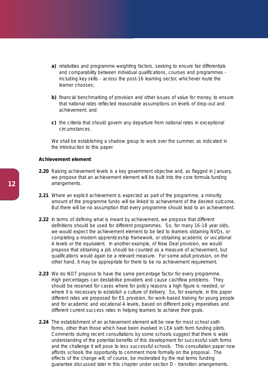- a) relativities and programme-weighting factors, seeking to ensure fair differentials and comparability between individual qualifications, courses and programmes including key skills - across the post-16 learning sector, whichever route the learner chooses;
- **b)** financial benchmarking of provision and other issues of value for money, to ensure that national rates reflected reasonable assumptions on levels of drop-out and achievement; and
- **c)** the criteria that should govern any departure from national rates in exceptional circumstances.

We shall be establishing a shadow group to work over the summer, as indicated in the introduction to this paper.

#### **Achievement element**

- **2.20** Raising achievement levels is a key government objective and, as flagged in January, we propose that an achievement element will be built into the core formula funding arrangements.
- **2.21** Where an explicit achievement is expected as part of the programme, a minority amount of the programme funds will be linked to achievement of the desired outcome. But there will be no assumption that every programme should lead to an achievement.
- **2.22** In terms of defining what is meant by achievement, we propose that different definitions should be used for different programmes. So, for many 16-18 year olds, we would expect the achievement element to be tied to learners obtaining NVQs, or completing a modern apprenticeship framework, or obtaining academic or vocational A levels or the equivalent. In another example, of New Deal provision, we would propose that obtaining a job should be counted as a measure of achievement, but qualifications would again be a relevant measure. For some adult provision, on the other hand, it may be appropriate for there to be no achievement requirement.
- **2.23** We do NOT propose to have the same percentage factor for every programme. High percentages can destabilise providers and cause cashflow problems. They should be reserved for cases where for policy reasons a high figure is needed, or where it is necessary to establish a culture of delivery. So, for example, in this paper different rates are proposed for ES provision, for work-based training for young people and for academic and vocational A levels, based on different policy imperatives and different current success rates in helping learners to achieve their goals.
- **2.24** The establishment of an achievement element will be new for most school sixth forms, other than those which have been involved in LEA sixth form funding pilots. Comments during recent consultations by some schools suggest that there is wide understanding of the potential benefits of this development for successful sixth forms and the challenge it will pose to less successful schools. This consultation paper now affords schools the opportunity to comment more formally on the proposal. The effects of the change will, of course, be moderated by the real terms funding guarantee discussed later in this chapter under section D - transition arrangements.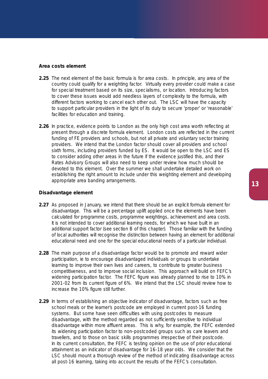#### **Area costs element**

- **2.25** The next element of the basic formula is for area costs. In principle, any area of the country could qualify for a weighting factor. Virtually every provider could make a case for special treatment based on its size, specialisms, or location. Introducing factors to cover these issues would add needless layers of complexity to the formula, with different factors working to cancel each other out. The LSC will have the capacity to support particular providers in the light of its duty to secure 'proper' or 'reasonable' facilities for education and training.
- **2.26** In practice, evidence points to London as the only high cost area worth reflecting at present through a discrete formula element. London costs are reflected in the current funding of FE providers and schools, but not all private and voluntary sector training providers. We intend that the London factor should cover all providers and school sixth forms, including providers funded by ES. It would be open to the LSC and ES to consider adding other areas in the future if the evidence justified this, and their Rates Advisory Groups will also need to keep under review how much should be devoted to this element. Over the summer we shall undertake detailed work on establishing the right amount to include under this weighting element and developing appropriate area banding arrangements.

#### **Disadvantage element**

- **2.27** As proposed in January, we intend that there should be an explicit formula element for disadvantage. This will be a percentage uplift applied once the elements have been calculated for programme costs, programme weightings, achievement and area costs. It is not intended to cover additional learning needs, for which we have built in an additional support factor (see section B of this chapter). Those familiar with the funding of local authorities will recognise the distinction between having an element for additional educational need and one for the special educational needs of a particular individual.
- **2.28** The main purpose of a disadvantage factor would be to promote and reward wider participation, ie to encourage disadvantaged individuals or groups to undertake learning to improve their own lives and careers, to contribute to greater business competitiveness, and to improve social inclusion. This approach will build on FEFC's widening participation factor. The FEFC figure was already planned to rise to 10% in 2001-02 from its current figure of 6%. We intend that the LSC should review how to increase the 10% figure still further.
- **2.29** In terms of establishing an objective indicator of disadvantage, factors such as free school meals or the learner's postcode are employed in current post-16 funding systems. But some have seen difficulties with using postcodes to measure disadvantage, with the method regarded as not sufficiently sensitive to individual disadvantage within more affluent areas. This is why, for example, the FEFC extended its widening participation factor to non-postcoded groups such as care leavers and travellers, and to those on basic skills programmes irrespective of their postcode. In its current consultation, the FEFC is testing opinion on the use of prior educational attainment as an indicator of disadvantage for 16-18 year olds. We consider that the LSC should mount a thorough review of the method of indicating disadvantage across all post-16 learning, taking into account the results of the FEFC's consultation.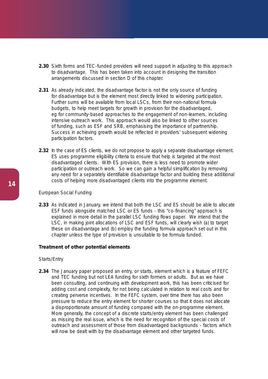- **2.30** Sixth forms and TEC-funded providers will need support in adjusting to this approach to disadvantage. This has been taken into account in designing the transition arrangements discussed in section D of this chapter.
- **2.31** As already indicated, the disadvantage factor is not the only source of funding for disadvantage but is the element most directly linked to widening participation. Further sums will be available from local LSCs, from their non-national formula budgets, to help meet targets for growth in provision for the disadvantaged, eg for community-based approaches to the engagement of non-learners, including intensive outreach work. This approach would also be linked to other sources of funding, such as ESF and SRB, emphasising the importance of partnership. Success in achieving growth would be reflected in providers' subsequent widening participation factors.
- **2.32** In the case of ES clients, we do not propose to apply a separate disadvantage element. ES uses programme eligibility criteria to ensure that help is targeted at the most disadvantaged clients. With ES provision, there is less need to promote wider participation or outreach work. So we can gain a helpful simplification by removing any need for a separately identifiable disadvantage factor and building these additional costs of helping more disadvantaged clients into the programme element.

#### *European Social Funding*

**2.33** As indicated in January, we intend that both the LSC and ES should be able to allocate ESF funds alongside matched LSC or ES funds - this "co-financing" approach is explained in more detail in the parallel LSC funding flows paper. We intend that the LSC, in making joint allocations of LSC and ESF funds, will clearly wish (a) to target these on disadvantage and (b) employ the funding formula approach set out in this chapter unless the type of provision is unsuitable to be formula funded.

#### **Treatment of other potential elements**

#### *Starts/Entry*

**2.34** The January paper proposed an entry, or starts, element which is a feature of FEFC and TEC funding but not LEA funding for sixth formers or adults. But as we have been consulting, and continuing with development work, this has been criticised for adding cost and complexity, for not being calculated in relation to real costs and for creating perverse incentives. In the FEFC system, over time there has also been pressure to reduce the entry element for shorter courses so that it does not allocate a disproportionate amount of funding compared with the on-programme element. More generally, the concept of a discrete starts/entry element has been challenged as missing the real issue, which is the need for recognition of the special costs of outreach and assessment of those from disadvantaged backgrounds - factors which will now be dealt with by the disadvantage element and other targeted funds.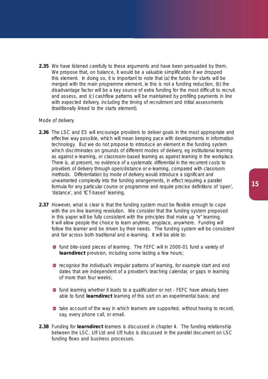**2.35** We have listened carefully to these arguments and have been persuaded by them. We propose that, on balance, it would be a valuable simplification if we dropped this element. In doing so, it is important to note that (a) the funds for starts will be merged with the main programme element, ie this is not a funding reduction, (b) the disadvantage factor will be a key source of extra funding for the most difficult to recruit and assess, and (c) cashflow patterns will be maintained by profiling payments in line with expected delivery, including the timing of recruitment and initial assessments (traditionally linked to the starts element).

#### *Mode of delivery*

- **2.36** The LSC and ES will encourage providers to deliver goals in the most appropriate and effective way possible, which will mean keeping pace with developments in information technology. But we do not propose to introduce an element in the funding system which discriminates on grounds of different modes of delivery, eg institutional learning as against e-learning, or classroom-based learning as against learning in the workplace. There is, at present, no evidence of a systematic differential in the recurrent costs to providers of delivery through open/distance or e-learning, compared with classroom methods. Differentiation by mode of delivery would introduce a significant and unwarranted complexity into the funding arrangements, in effect requiring a parallel formula for any particular course or programme and require precise definitions of 'open', 'distance', and 'ICT-based' learning.
- **2.37** However, what is clear is that the funding system must be flexible enough to cope with the on-line learning revolution. We consider that the funding system proposed in this paper will be fully consistent with the principles that make up "e" learning. It will allow people the choice to learn anytime, anyplace, anywhere. Funding will follow the learner and be driven by their needs. The funding system will be consistent and fair across both traditional and e-learning. It will be able to:
	- **o** fund bite-sized pieces of learning. The FEFC will in 2000-01 fund a variety of **learndirect** provision, including some lasting a few hours;
	- **O** recognise the individual's irregular patterns of learning, for example start and end dates that are independent of a provider's teaching calendar, or gaps in learning of more than four weeks;
	- $\bullet$  fund learning whether it leads to a qualification or not FEFC have already been able to fund **learndirect** learning of this sort on an experimental basis; and
	- **t** take account of the way in which learners are supported, without having to record, say, every phone call, or email.
- **2.38** Funding for **learndirect** learners is discussed in chapter 4. The funding relationship between the LSC, UfI Ltd and UfI hubs is discussed in the parallel document on LSC funding flows and business processes.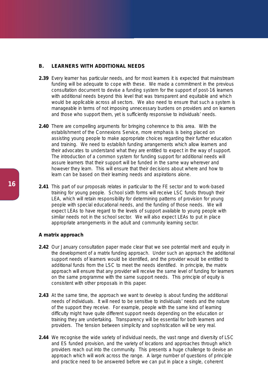#### **B. LEARNERS WITH ADDITIONAL NEEDS**

- **2.39** Every learner has particular needs, and for most learners it is expected that mainstream funding will be adequate to cope with these. We made a commitment in the previous consultation document to devise a funding system for the support of post-16 learners with additional needs beyond this level that was transparent and equitable and which would be applicable across all sectors. We also need to ensure that such a system is manageable in terms of not imposing unnecessary burdens on providers and on learners and those who support them, yet is sufficiently responsive to individuals' needs.
- **2.40** There are compelling arguments for bringing coherence to this area. With the establishment of the Connexions Service, more emphasis is being placed on assisting young people to make appropriate choices regarding their further education and training. We need to establish funding arrangements which allow learners and their advocates to understand what they are entitled to expect in the way of support. The introduction of a common system for funding support for additional needs will assure learners that their support will be funded in the same way wherever and however they learn. This will ensure that their decisions about where and how to learn can be based on their learning needs and aspirations alone.
- **2.41** This part of our proposals relates in particular to the FE sector and to work-based training for young people. School sixth forms will receive LSC funds through their LEA, which will retain responsibility for determining patterns of provision for young people with special educational needs, and the funding of those needs. We will expect LEAs to have regard to the levels of support available to young people with similar needs not in the school sector. We will also expect LEAs to put in place appropriate arrangements in the adult and community learning sector.

#### **A matrix approach**

- **2.42** Our January consultation paper made clear that we see potential merit and equity in the development of a matrix funding approach. Under such an approach the additional support needs of learners would be identified, and the provider would be entitled to additional funds from the LSC to meet the needs identified. In principle, the matrix approach will ensure that any provider will receive the same level of funding for learners on the same programme with the same support needs. This principle of equity is consistent with other proposals in this paper.
- **2.43** At the same time, the approach we want to develop is about funding the additional needs of individuals. It will need to be sensitive to individuals' needs and the nature of the support they receive. For example, people with the same kind of learning difficulty might have quite different support needs depending on the education or training they are undertaking. Transparency will be essential for both learners and providers. The tension between simplicity and sophistication will be very real.
- **2.44** We recognise the wide variety of individual needs, the vast range and diversity of LSC and ES funded provision, and the variety of locations and approaches through which providers reach out into the community. This presents a huge challenge to devise an approach which will work across the range. A large number of questions of principle and practice need to be answered before we can put in place a single, coherent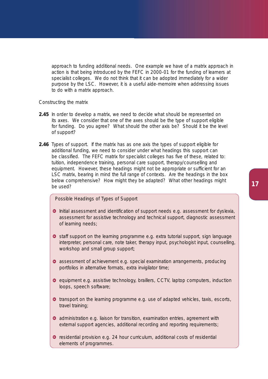approach to funding additional needs. One example we have of a matrix approach in action is that being introduced by the FEFC in 2000-01 for the funding of learners at specialist colleges. We do not think that it can be adopted immediately for a wider purpose by the LSC. However, it is a useful aide-memoire when addressing issues to do with a matrix approach.

#### *Constructing the matrix*

- **2.45** In order to develop a matrix, we need to decide what should be represented on its axes. We consider that one of the axes should be the type of support eligible for funding. Do you agree? What should the other axis be? Should it be the level of support?
- **2.46** *Types of support*. If the matrix has as one axis the types of support eligible for additional funding, we need to consider under what headings this support can be classified. The FEFC matrix for specialist colleges has five of these, related to: tuition, independence training, personal care support, therapy/counselling and equipment. However, these headings might not be appropriate or sufficient for an LSC matrix, bearing in mind the full range of contexts. Are the headings in the box below comprehensive? How might they be adapted? What other headings might be used?

#### *Possible Headings of Types of Support*

- **O** Initial assessment and identification of support needs e.g. assessment for dyslexia, assessment for assistive technology and technical support, diagnostic assessment of learning needs;
- **o** staff support on the learning programme e.g. extra tutorial support, sign language interpreter, personal care, note taker, therapy input, psychologist input, counselling, workshop and small group support;
- **•** assessment of achievement e.g. special examination arrangements, producing portfolios in alternative formats, extra invigilator time;
- **e** equipment e.g. assistive technology, braillers, CCTV, laptop computers, induction loops, speech software;
- **transport on the learning programme e.g. use of adapted vehicles, taxis, escorts,** travel training;
- **O** administration e.g. liaison for transition, examination entries, agreement with external support agencies, additional recording and reporting requirements;
- $\bullet$  residential provision e.g. 24 hour curriculum, additional costs of residential elements of programmes.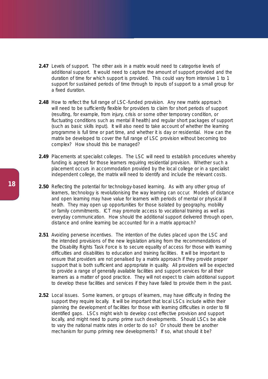- **2.47** *Levels of support*. The other axis in a matrix would need to categorise levels of additional support. It would need to capture the amount of support provided and the duration of time for which support is provided. This could vary from intensive 1 to 1 support for sustained periods of time through to inputs of support to a small group for a fixed duration.
- **2.48** *How to reflect the full range of LSC-funded provision*. Any new matrix approach will need to be sufficiently flexible for providers to claim for short periods of support (resulting, for example, from injury, crisis or some other temporary condition, or fluctuating conditions such as mental ill health) and regular short packages of support (such as basic skills input). It will also need to take account of whether the learning programme is full time or part time, and whether it is day or residential. How can the matrix be developed to cover the full range of LSC provision without becoming too complex? How should this be managed?
- **2.49** *Placements at specialist colleges*. The LSC will need to establish procedures whereby funding is agreed for those learners requiring residential provision. Whether such a placement occurs in accommodation provided by the local college or in a specialist independent college, the matrix will need to identify and include the relevant costs.
- **2.50** *Reflecting the potential for technology-based learning*. As with any other group of learners, technology is revolutionising the way learning can occur. Models of distance and open learning may have value for learners with periods of mental or physical ill heath. They may open up opportunities for those isolated by geography, mobility or family commitments. ICT may promote access to vocational training as well as everyday communication. How should the additional support delivered through open, distance and online learning be accounted for in a matrix approach?
- **2.51** *Avoiding perverse incentives*. The intention of the duties placed upon the LSC and the intended provisions of the new legislation arising from the recommendations of the Disability Rights Task Force is to secure equality of access for those with learning difficulties and disabilities to education and training facilities. It will be important to ensure that providers are not penalised by a matrix approach if they provide proper support that is both sufficient and appropriate in quality. All providers will be expected to provide a range of generally available facilities and support services for all their learners as a matter of good practice. They will not expect to claim additional support to develop these facilities and services if they have failed to provide them in the past.
- **2.52** *Local issues*. Some learners, or groups of learners, may have difficulty in finding the support they require locally. It will be important that local LSCs include within their planning the development of facilities for those with learning difficulties in order to fill identified gaps. LSCs might wish to develop cost effective provision and support locally, and might need to pump prime such developments. Should LSCs be able to vary the national matrix rates in order to do so? Or should there be another mechanism for pump priming new developments? If so, what should it be?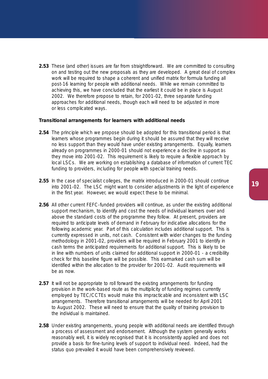**2.53** These (and other) issues are far from straightforward. We are committed to consulting on and testing out the new proposals as they are developed. A great deal of complex work will be required to shape a coherent and unified matrix for formula funding all post-16 learning for people with additional needs. While we remain committed to achieving this, we have concluded that the earliest it could be in place is August 2002. We therefore propose to retain, for 2001-02, three separate funding approaches for additional needs, though each will need to be adjusted in more or less complicated ways.

#### **Transitional arrangements for learners with additional needs**

- **2.54** The principle which we propose should be adopted for this transitional period is that learners whose programmes begin during it should be assured that they will receive no less support than they would have under existing arrangements. Equally, learners already on programmes in 2000-01 should not experience a decline in support as they move into 2001-02. This requirement is likely to require a flexible approach by local LSCs. We are working on establishing a database of information of current TEC funding to providers, including for people with special training needs.
- **2.55** In the case of specialist colleges, the matrix introduced in 2000-01 should continue into 2001-02. The LSC might want to consider adjustments in the light of experience in the first year. However, we would expect these to be minimal.
- **2.56** All other current FEFC-funded providers will continue, as under the existing additional support mechanism, to identify and cost the needs of individual learners over and above the standard costs of the programme they follow. At present, providers are required to anticipate levels of demand in February for indicative allocations for the following academic year. Part of this calculation includes additional support. This is currently expressed in units, not cash. Consistent with wider changes to the funding methodology in 2001-02, providers will be required in February 2001 to identify in cash terms the anticipated requirements for additional support. This is likely to be in line with numbers of units claimed for additional support in 2000-01 - a credibility check for this baseline figure will be possible. This earmarked cash sum will be identified within the allocation to the provider for 2001-02. Audit requirements will be as now.
- **2.57** It will not be appropriate to roll forward the existing arrangements for funding provision in the work-based route as the multiplicity of funding regimes currently employed by TEC/CCTEs would make this impracticable and inconsistent with LSC arrangements. Therefore transitional arrangements will be needed for April 2001 to August 2002. These will need to ensure that the quality of training provision to the individual is maintained.
- **2.58** Under existing arrangements, young people with additional needs are identified through a process of assessment and endorsement. Although the system generally works reasonably well, it is widely recognised that it is inconsistently applied and does not provide a basis for fine-tuning levels of support to individual need. Indeed, had the status quo prevailed it would have been comprehensively reviewed.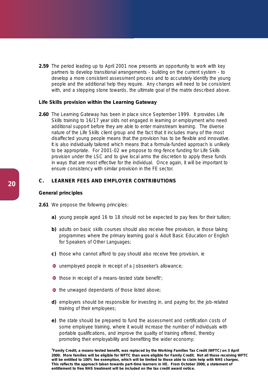**2.59** The period leading up to April 2001 now presents an opportunity to work with key partners to develop transitional arrangements - building on the current system - to develop a more consistent assessment process and to accurately identify the young people and the additional help they require. Any changes will need to be consistent with, and a stepping stone towards, the ultimate goal of the matrix described above.

#### **Life Skills provision within the Learning Gateway**

**2.60** The Learning Gateway has been in place since September 1999. It provides Life Skills training to 16/17 year olds not engaged in learning or employment who need additional support before they are able to enter mainstream learning. The diverse nature of the Life Skills client group and the fact that it includes many of the most disaffected young people means that the provision has to be flexible and innovative. It is also individually tailored which means that a formula-funded approach is unlikely to be appropriate. For 2001-02 we propose to ring-fence funding for Life Skills provision under the LSC and to give local arms the discretion to apply these funds in ways that are most effective for the individual. Once again, it will be important to ensure consistency with similar provision in the FE sector.

#### **C. LEARNER FEES AND EMPLOYER CONTRIBUTIONS**

#### **General principles**

**2.61** We propose the following principles:

- **a)** young people aged 16 to 18 should not be expected to pay fees for their tuition;
- **b)** adults on basic skills courses should also receive free provision, ie those taking programmes where the primary learning goal is Adult Basic Education or English for Speakers of Other Languages;
- **c)** those who cannot afford to pay should also receive free provision, ie
- unemployed people in receipt of a Jobseeker's allowance;
- those in receipt of a means-tested state benefit<sup>1</sup>;
- **o** the unwaged dependants of those listed above;
- **d)** employers should be responsible for investing in, and paying for, the job-related training of their employees;
- **e)** the state should be prepared to fund the assessment and certification costs of some employee training, where it would increase the number of individuals with portable qualifications, and improve the quality of training offered, thereby promoting their employability and benefiting the wider economy;

**1 Family Credit, a means-tested benefit, was replaced by the Working Families Tax Credit (WFTC) on 3 April 2000. More families will be eligible for WFTC than were eligible for Family Credit. Not all those receiving WFTC will be entitled to 100% fee exemption, which will be limited to those able to claim help with NHS charges. This reflects the approach taken towards part-time learners in HE. From October 2000, a statement of entitlement to free NHS treatment will be included on the tax credit award notice.**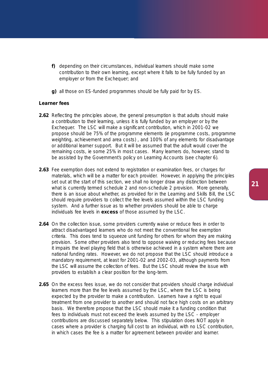- **f)** depending on their circumstances, individual learners should make some contribution to their own learning, except where it falls to be fully funded by an employer or from the Exchequer; and
- **g)** all those on ES-funded programmes should be fully paid for by ES.

#### **Learner fees**

- **2.62** Reflecting the principles above, the general presumption is that adults should make a contribution to their learning, unless it is fully funded by an employer or by the Exchequer. The LSC will make a significant contribution, which in 2001-02 we propose should be 75% of the programme elements (ie programme costs, programme weighting, achievement and area costs) , and 100% of any elements for disadvantage or additional learner support. But it will be assumed that the adult would cover the remaining costs, ie some 25% in most cases. Many learners do, however, stand to be assisted by the Government's policy on Learning Accounts (see chapter 6).
- **2.63** Fee exemption does not extend to registration or examination fees, or charges for materials, which will be a matter for each provider. However, in applying the principles set out at the start of this section, we shall no longer draw any distinction between what is currently termed schedule 2 and non-schedule 2 provision. More generally, there is an issue about whether, as provided for in the Learning and Skills Bill, the LSC should require providers to collect the fee levels assumed within the LSC funding system. And a further issue as to whether providers should be able to charge individuals fee levels in **excess** of those assumed by the LSC.
- **2.64** On the collection issue, some providers currently waive or reduce fees in order to attract disadvantaged learners who do not meet the conventional fee exemption criteria. This does tend to squeeze unit funding for others for whom they are making provision. Some other providers also tend to oppose waiving or reducing fees because it impairs the level playing field that is otherwise achieved in a system where there are national funding rates. However, we do not propose that the LSC should introduce a mandatory requirement, at least for 2001-02 and 2002-03, although payments from the LSC will assume the collection of fees. But the LSC should review the issue with providers to establish a clear position for the long-term.
- **2.65** On the excess fees issue, we do not consider that providers should charge individual learners more than the fee levels assumed by the LSC, where the LSC is being expected by the provider to make a contribution. Learners have a right to equal treatment from one provider to another and should not face high costs on an arbitrary basis. We therefore propose that the LSC should make it a funding condition that fees to individuals must not exceed the levels assumed by the LSC - employer contributions are discussed separately below. This stipulation does NOT apply in cases where a provider is charging full cost to an individual, with no LSC contribution, in which cases the fee is a matter for agreement between provider and learner.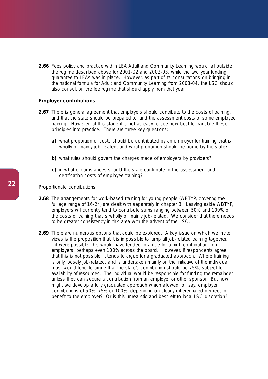2.66 Fees policy and practice within LEA Adult and Community Learning would fall outside the regime described above for 2001-02 and 2002-03, while the two year funding guarantee to LEAs was in place. However, as part of its consultations on bringing in the national formula for Adult and Community Learning from 2003-04, the LSC should also consult on the fee regime that should apply from that year.

#### **Employer contributions**

- **2.67** There is general agreement that employers should contribute to the costs of training, and that the state should be prepared to fund the assessment costs of some employee training. However, at this stage it is not as easy to see how best to translate these principles into practice. There are three key questions:
	- **a)** what proportion of costs should be contributed by an employer for training that is wholly or mainly job-related, and what proportion should be borne by the state?
	- **b)** what rules should govern the charges made of employers by providers?
	- **c)** in what circumstances should the state contribute to the assessment and certification costs of employee training?

#### *Proportionate contributions*

- **2.68** The arrangements for work-based training for young people (WBTYP, covering the full age range of 16-24) are dealt with separately in chapter 3. Leaving aside WBTYP, employers will currently tend to contribute sums ranging between 50% and 100% of the costs of training that is wholly or mainly job-related. We consider that there needs to be greater consistency in this area with the advent of the LSC.
- **2.69** There are numerous options that could be explored. A key issue on which we invite views is the proposition that it is impossible to lump all job-related training together. If it were possible, this would have tended to argue for a high contribution from employers, perhaps even 100% across the board. However, if respondents agree that this is not possible, it tends to argue for a graduated approach. Where training is only loosely job-related, and is undertaken mainly on the initiative of the individual, most would tend to argue that the state's contribution should be 75%, subject to availability of resources. The individual would be responsible for funding the remainder, unless they can secure a contribution from an employer or other sponsor. But how might we develop a fully graduated approach which allowed for, say, employer contributions of 50%, 75% or 100%, depending on clearly differentiated degrees of benefit to the employer? Or is this unrealistic and best left to local LSC discretion?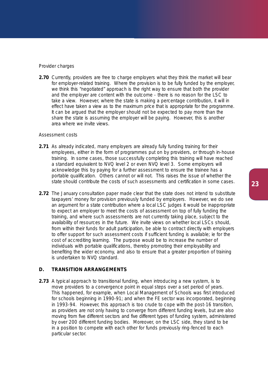#### *Provider charges*

**2.70** Currently, providers are free to charge employers what they think the market will bear for employer-related training. Where the provision is to be fully funded by the employer, we think this "negotiated" approach is the right way to ensure that both the provider and the employer are content with the outcome - there is no reason for the LSC to take a view. However, where the state is making a percentage contribution, it will in effect have taken a view as to the maximum price that is appropriate for the programme. It can be argued that the employer should not be expected to pay more than the share the state is assuming the employer will be paying. However, *this is another area where we invite views*.

#### *Assessment costs*

- **2.71** As already indicated, many employers are already fully funding training for their employees, either in the form of programmes put on by providers, or through in-house training. In some cases, those successfully completing this training will have reached a standard equivalent to NVQ level 2 or even NVQ level 3. Some employers will acknowledge this by paying for a further assessment to ensure the trainee has a portable qualification. Others cannot or will not. This raises the issue of whether the state should contribute the costs of such assessments and certification in some cases.
- 2.72 The January consultation paper made clear that the state does not intend to substitute taxpayers' money for provision previously funded by employers. However, we do see an argument for a state contribution where a local LSC judges it would be inappropriate to expect an employer to meet the costs of assessment on top of fully funding the training, and where such assessments are not currently taking place, subject to the availability of resources in the future. *We invite views* on whether local LSCs should, from within their funds for adult participation, be able to contract directly with employers to offer support for such assessment costs if sufficient funding is available; ie for the cost of accrediting learning. The purpose would be to increase the number of individuals with portable qualifications, thereby promoting their employability and benefiting the wider economy, and also to ensure that a greater proportion of training is undertaken to NVQ standard.

#### **D. TRANSITION ARRANGEMENTS**

**2.73** A typical approach to transitional funding, when introducing a new system, is to move providers to a convergence point in equal steps over a set period of years. This happened, for example, when Local Management of Schools was first introduced for schools beginning in 1990-91; and when the FE sector was incorporated, beginning in 1993-94. However, this approach is too crude to cope with the post-16 transition, as providers are not only having to converge from different funding levels, but are also moving from five different sectors and five different types of funding system, administered by over 200 different funding bodies. Moreover, on the LSC side, they stand to be in a position to compete with each other for funds previously ring-fenced to each particular sector.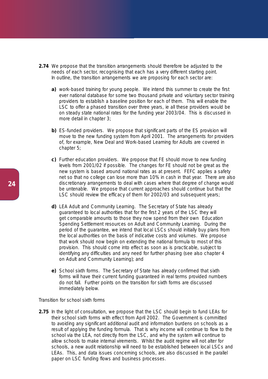- **2.74** We propose that the transition arrangements should therefore be adjusted to the needs of each sector, recognising that each has a very different starting point. In outline, the transition arrangements we are proposing for each sector are:
	- **a)** work-based training for young people. We intend this summer to create the first ever national database for some two thousand private and voluntary sector training providers to establish a baseline position for each of them. This will enable the LSC to offer a phased transition over three years, ie all these providers would be on steady state national rates for the funding year 2003/04. This is discussed in more detail in chapter 3;
	- **b)** ES-funded providers. We propose that significant parts of the ES provision will move to the new funding system from April 2001. The arrangements for providers of, for example, New Deal and Work-based Learning for Adults are covered in chapter 5;
	- **c)** Further education providers. We propose that FE should move to new funding levels from 2001/02 if possible. The changes for FE should not be great as the new system is based around national rates as at present. FEFC applies a safety net so that no college can lose more than 10% in cash in that year. There are also discretionary arrangements to deal with cases where that degree of change would be untenable. We propose that current approaches should continue but that the LSC should review the efficacy of them for 2002/03 and subsequent years;
	- **d)** LEA Adult and Community Learning. The Secretary of State has already guaranteed to local authorities that for the first 2 years of the LSC they will get comparable amounts to those they now spend from their own Education Spending Settlement resources on Adult and Community Learning. During the period of the guarantee, we intend that local LSCs should initially buy plans from the local authorities on the basis of indicative costs and volumes. We propose that work should now begin on extending the national formula to most of this provision. This should come into effect as soon as is practicable, subject to identifying any difficulties and any need for further phasing (see also chapter 4 on Adult and Community Learning); and
	- **e)** School sixth forms. The Secretary of State has already confirmed that sixth forms will have their current funding guaranteed in real terms provided numbers do not fall. Further points on the transition for sixth forms are discussed immediately below.

#### *Transition for school sixth forms*

**2.75** In the light of consultation, we propose that the LSC should begin to fund LEAs for their school sixth forms with effect from April 2002. The Government is committed to avoiding any significant additional audit and information burdens on schools as a result of applying the funding formula. That is why income will continue to flow to the school via the LEA, not directly from the LSC, and why the system will continue to allow schools to make internal virements. Whilst the audit regime will not alter for schools, a new audit relationship will need to be established between local LSCs and LEAs. This, and data issues concerning schools, are also discussed in the parallel paper on LSC funding flows and business processes.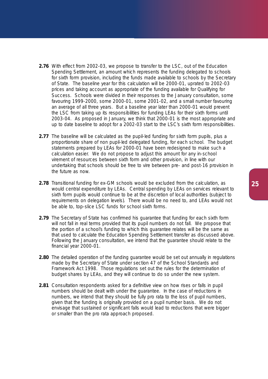- **2.76** With effect from 2002-03, we propose to transfer to the LSC, out of the Education Spending Settlement, an amount which represents the funding delegated to schools for sixth form provision, including the funds made available to schools by the Secretary of State. The baseline year for this calculation will be 2000-01, uprated to 2002-03 prices and taking account as appropriate of the funding available for Qualifying for Success. Schools were divided in their responses to the January consultation, some favouring 1999-2000, some 2000-01, some 2001-02, and a small number favouring an average of all three years. But a baseline year later than 2000-01 would prevent the LSC from taking up its responsibilities for funding LEAs for their sixth forms until 2003-04. As proposed in January, we think that 2000-01 is the most appropriate and up to date baseline to adopt for a 2002-03 start to the LSC's sixth form responsibilities.
- **2.77** The baseline will be calculated as the pupil-led funding for sixth form pupils, plus a proportionate share of non pupil-led delegated funding, for each school. The budget statements prepared by LEAs for 2000-01 have been redesigned to make such a calculation easier. We do not propose to adjust this amount for any in-school virement of resources between sixth form and other provision, in line with our undertaking that schools should be free to vire between pre- and post-16 provision in the future as now.
- **2.78** Transitional funding for ex-GM schools would be excluded from the calculation, as would central expenditure by LEAs. Central spending by LEAs on services relevant to sixth form pupils would continue to be at the discretion of local authorities (subject to requirements on delegation levels). There would be no need to, and LEAs would not be able to, top-slice LSC funds for school sixth forms.
- 2.79 The Secretary of State has confirmed his quarantee that funding for each sixth form will not fall in real terms provided that its pupil numbers do not fall. We propose that the portion of a school's funding to which this guarantee relates will be the same as that used to calculate the Education Spending Settlement transfer as discussed above. Following the January consultation, we intend that the guarantee should relate to the financial year 2000-01.
- **2.80** The detailed operation of the funding quarantee would be set out annually in regulations made by the Secretary of State under section 47 of the School Standards and Framework Act 1998. Those regulations set out the rules for the determination of budget shares by LEAs, and they will continue to do so under the new system.
- **2.81** Consultation respondents asked for a definitive view on how rises or falls in pupil numbers should be dealt with under the guarantee. In the case of reductions in numbers, we intend that they should be fully pro rata to the loss of pupil numbers, given that the funding is originally provided on a pupil number basis. We do not envisage that sustained or significant falls would lead to reductions that were bigger or smaller than the pro rata approach proposed.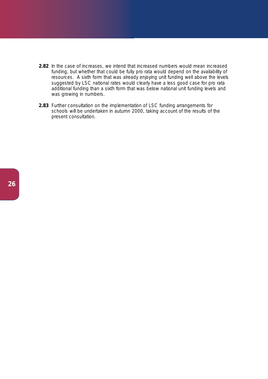- **2.82** In the case of increases, we intend that increased numbers would mean increased funding, but whether that could be fully pro rata would depend on the availability of resources. A sixth form that was already enjoying unit funding well above the levels suggested by LSC national rates would clearly have a less good case for pro rata additional funding than a sixth form that was below national unit funding levels and was growing in numbers.
- **2.83** Further consultation on the implementation of LSC funding arrangements for schools will be undertaken in autumn 2000, taking account of the results of the present consultation.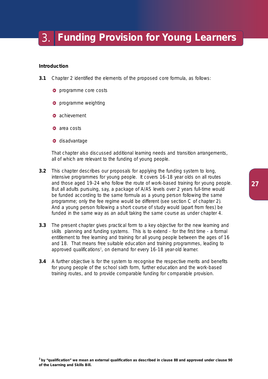### 3. **Funding Provision for Young Learners**

#### **Introduction**

- **3.1** Chapter 2 identified the elements of the proposed core formula, as follows:
	- **O** programme core costs
	- **O** programme weighting
	- **a** achievement
	- **a** area costs
	- **d** disadvantage

That chapter also discussed additional learning needs and transition arrangements, all of which are relevant to the funding of young people.

- **3.2** This chapter describes our proposals for *applying* the funding system to long, intensive programmes for young people. It covers 16-18 year olds on all routes and those aged 19-24 who follow the route of work-based training for young people. But all adults pursuing, say, a package of A/AS levels over 2 years full-time would be funded according to the same formula as a young person following the same programme; only the fee regime would be different (see section C of chapter 2). And a young person following a short course of study would (apart from fees) be funded in the same way as an adult taking the same course as under chapter 4.
- **3.3** The present chapter gives practical form to a key objective for the new learning and skills planning and funding systems. This is to extend - for the first time - a formal entitlement to free learning and training for all young people between the ages of 16 and 18. That means free suitable education and training programmes, leading to approved qualifications<sup>2</sup>, on demand for every 16-18 year-old learner.
- **3.4** A further objective is for the system to recognise the respective merits and benefits for young people of the school sixth form, further education and the work-based training routes, and to provide comparable funding for comparable provision.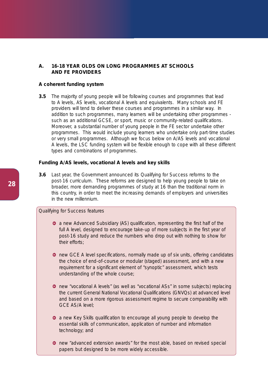#### **A. 16-18 YEAR OLDS ON LONG PROGRAMMES AT SCHOOLS AND FE PROVIDERS**

#### **A coherent funding system**

**3.5** The majority of young people will be following courses and programmes that lead to A levels, AS levels, vocational A levels and equivalents. Many schools and FE providers will tend to deliver these courses and programmes in a similar way. In addition to such programmes, many learners will be undertaking other programmes such as an additional GCSE, or sport, music or community-related qualifications. Moreover, a substantial number of young people in the FE sector undertake other programmes. This would include young learners who undertake only part-time studies or very small programmes. Although we focus below on A/AS levels and vocational A levels, the LSC funding system will be flexible enough to cope with all these different types and combinations of programmes.

#### **Funding A/AS levels, vocational A levels and key skills**

**3.6** Last year, the Government announced its *Qualifying for Success* reforms to the post-16 curriculum. These reforms are designed to help young people to take on broader, more demanding programmes of study at 16 than the traditional norm in this country, in order to meet the increasing demands of employers and universities in the new millennium.

#### *Qualifying for Success features*

- **•** a new Advanced Subsidiary (AS) qualification, representing the first half of the full A level, designed to encourage take-up of more subjects in the first year of post-16 study and reduce the numbers who drop out with nothing to show for their efforts;
- **O** new GCE A level specifications, normally made up of six units, offering candidates the choice of end-of-course or modular (staged) assessment, and with a new requirement for a significant element of "synoptic" assessment, which tests understanding of the whole course;
- new "vocational A levels" (as well as "vocational ASs" in some subjects) replacing the current General National Vocational Qualifications (GNVQs) at advanced level and based on a more rigorous assessment regime to secure comparability with GCE AS/A level;
- **a** a new Key Skills qualification to encourage all young people to develop the essential skills of communication, application of number and information technology; and
- **o** new "advanced extension awards" for the most able, based on revised special papers but designed to be more widely accessible.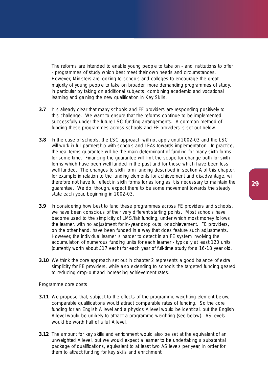The reforms are intended to enable young people to take on - and institutions to offer - programmes of study which best meet their own needs and circumstances. However, Ministers are looking to schools and colleges to encourage the great majority of young people to take on broader, more demanding programmes of study, in particular by taking on additional subjects, combining academic and vocational learning and gaining the new qualification in Key Skills.

- **3.7** It is already clear that many schools and FE providers are responding positively to this challenge. We want to ensure that the reforms continue to be implemented successfully under the future LSC funding arrangements. A common method of funding these programmes across schools and FE providers is set out below.
- **3.8** In the case of schools, the LSC approach will not apply until 2002-03 and the LSC will work in full partnership with schools and LEAs towards implementation. In practice, the real terms guarantee will be the main determinant of funding for many sixth forms for some time. Financing the guarantee will limit the scope for change both for sixth forms which have been well funded in the past and for those which have been less well funded. The changes to sixth form funding described in section A of this chapter, for example in relation to the funding elements for achievement and disadvantage, will therefore not have full effect in sixth forms for as long as it is necessary to maintain the guarantee. We do, though, expect there to be some movement towards the steady state each year, beginning in 2002-03.
- **3.9** In considering how best to fund these programmes across FE providers and schools, we have been conscious of their very different starting points. Most schools have become used to the simplicity of LMS/fair funding, under which most money follows the learner, with no adjustment for in-year drop outs, or achievement. FE providers, on the other hand, have been funded in a way that does feature such adjustments. However, the individual learner is harder to detect in an FE system involving the accumulation of numerous funding units for each learner - typically at least 120 units (currently worth about £17 each) for each year of full-time study for a 16-18 year old.
- **3.10** We think the core approach set out in chapter 2 represents a good balance of extra simplicity for FE providers, while also extending to schools the targeted funding geared to reducing drop-out and increasing achievement rates.

#### *Programme core costs*

- **3.11** We propose that, subject to the effects of the programme weighting element below, comparable qualifications would attract comparable rates of funding. So the core funding for an English A level and a physics A level would be identical, but the English A level would be unlikely to attract a programme weighting (see below). AS levels would be worth half of a full A level.
- **3.12** The amount for key skills and enrichment would also be set at the equivalent of an unweighted A level, but we would expect a learner to be undertaking a substantial package of qualifications, equivalent to at least two AS levels per year, in order for them to attract funding for key skills and enrichment.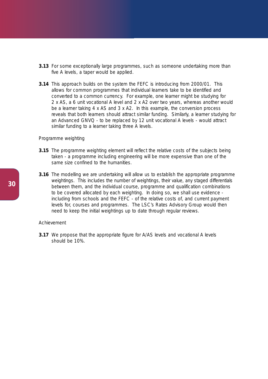- **3.13** For some exceptionally large programmes, such as someone undertaking more than five A levels, a taper would be applied.
- **3.14** This approach builds on the system the FEFC is introducing from 2000/01. This allows for common programmes that individual learners take to be identified and converted to a common currency. For example, one learner might be studying for 2 x AS, a 6 unit vocational A level and 2 x A2 over two years, whereas another would be a learner taking 4 x AS and 3 x A2. In this example, the conversion process reveals that both learners should attract similar funding. Similarly, a learner studying for an Advanced GNVQ - to be replaced by 12 unit vocational A levels - would attract similar funding to a learner taking three A levels.

#### *Programme weighting*

- **3.15** The programme weighting element will reflect the relative costs of the subjects being taken - a programme including engineering will be more expensive than one of the same size confined to the humanities.
- **3.16** The modelling we are undertaking will allow us to establish the appropriate programme weightings. This includes the number of weightings, their value, any staged differentials between them, and the individual course, programme and qualification combinations to be covered allocated by each weighting. In doing so, we shall use evidence including from schools and the FEFC - of the relative costs of, and current payment levels for, courses and programmes. The LSC's Rates Advisory Group would then need to keep the initial weightings up to date through regular reviews.

#### *Achievement*

**3.17** We propose that the appropriate figure for A/AS levels and vocational A levels should be 10%.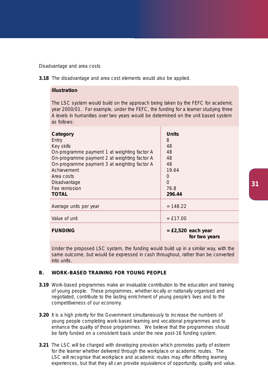#### *Disadvantage and area costs*

**3.18** The disadvantage and area cost elements would also be applied.

#### **Illustration**

The LSC system would build on the approach being taken by the FEFC for academic year 2000/01. For example, under the FEFC, the funding for a learner studying three A levels in humanities over two years would be determined on the unit based system as follows:

| Category<br>Entry<br>Key skills<br>On-programme payment 1 at weighting factor A<br>On-programme payment 2 at weighting factor A<br>On-programme payment 3 at weighting factor A<br>Achievement<br>Area costs<br>Disadvantage<br>Fee remission<br><b>TOTAL</b> | <b>Units</b><br>8<br>48<br>48<br>48<br>48<br>19.64<br>$\bigcirc$<br>$\bigcap$<br>76.8<br>296.44 |
|---------------------------------------------------------------------------------------------------------------------------------------------------------------------------------------------------------------------------------------------------------------|-------------------------------------------------------------------------------------------------|
| Average units per year                                                                                                                                                                                                                                        | $= 148.22$                                                                                      |
| Value of unit                                                                                                                                                                                                                                                 | $=$ £17.00                                                                                      |
| <b>FUNDING</b>                                                                                                                                                                                                                                                | $=$ £2,520 each year<br>for two years                                                           |

Under the proposed LSC system, the funding would build up in a similar way, with the same outcome, but would be expressed in cash throughout, rather than be converted into units.

#### **B. WORK-BASED TRAINING FOR YOUNG PEOPLE**

- **3.19** Work-based programmes make an invaluable contribution to the education and training of young people. These programmes, whether locally or nationally organised and negotiated, contribute to the lasting enrichment of young people's lives and to the competitiveness of our economy.
- **3.20** It is a high priority for the Government simultaneously to increase the numbers of young people completing work-based learning and vocational programmes and to enhance the quality of those programmes. We believe that the programmes should be fairly funded on a consistent basis under the new post-16 funding system.
- **3.21** The LSC will be charged with developing provision which promotes parity of esteem for the learner whether delivered through the workplace or academic routes. The LSC will recognise that workplace and academic routes may offer differing learning experiences, but that they all can provide equivalence of opportunity, quality and value.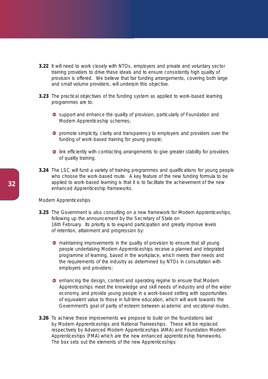- **3.22** It will need to work closely with NTOs, employers and private and voluntary sector training providers to drive these ideals and to ensure consistently high quality of provision is offered. We believe that fair funding arrangements, covering both large and small volume providers, will underpin this objective.
- **3.23** The practical objectives of the funding system as applied to work-based learning programmes are to:
	- **O** support and enhance the quality of provision, particularly of Foundation and Modern Apprenticeship schemes;
	- **P** promote simplicity, clarity and transparency to employers and providers over the funding of work-based training for young people;
	- **O** link efficiently with contracting arrangements to give greater stability for providers of quality training.
- **3.24** The LSC will fund a variety of training programmes and qualifications for young people who choose the work-based route. A key feature of the new funding formula to be applied to work-based learning is that it is to facilitate the achievement of the new enhanced Apprenticeship frameworks.

#### *Modern Apprenticeships*

- **3.25** The Government is also consulting on a new framework for Modern Apprenticeships, following up the announcement by the Secretary of State on 16th February. Its priority is to expand participation and greatly improve levels of retention, attainment and progression by:
	- **O** maintaining improvements in the quality of provision to ensure that all young people undertaking Modern Apprenticeships receive a planned and integrated programme of learning, based in the workplace, which meets their needs and the requirements of the industry as determined by NTOs in consultation with employers and providers;
	- **O** enhancing the design, content and operating regime to ensure that Modern Apprenticeships meet the knowledge and skill needs of industry and of the wider economy, and provide young people in a work-based setting with opportunities of equivalent value to those in full-time education, which will work towards the Government's goal of parity of esteem between academic and vocational routes.
- **3.26** To achieve these improvements we propose to build on the foundations laid by Modern Apprenticeships and National Traineeships. These will be replaced respectively by Advanced Modern Apprenticeships (AMA) and Foundation Modern Apprenticeships (FMA) which are the new enhanced apprenticeship frameworks. The box sets out the elements of the new Apprenticeships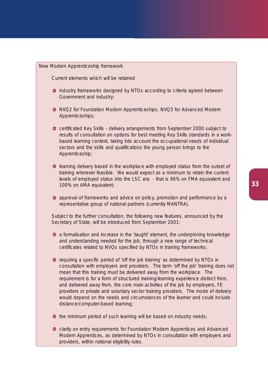*New Modern Apprenticeship framework*

Current elements which will be retained

- **O** industry frameworks designed by NTOs according to criteria agreed between Government and industry;
- **O** NVQ2 for Foundation Modern Apprenticeships, NVQ3 for Advanced Modern Apprenticeships;
- certificated Key Skills delivery arrangements from September 2000 subject to results of consultation on options for best meeting Key Skills standards in a workbased learning context, taking into account the occupational needs of individual sectors and the skills and qualifications the young person brings to the Apprenticeship;
- $\bullet$  learning delivery based in the workplace with employed status from the outset of training wherever feasible. We would expect as a minimum to retain the current levels of employed status into the LSC era - that is 96% on FMA equivalent and 100% on AMA equivalent;
- **O** approval of frameworks and advice on policy, promotion and performance by a representative group of national partners (currently MANTRA).

Subject to the further consultation, the following new features, announced by the Secretary of State, will be introduced from September 2001:

- **•** a formalisation and increase in the 'taught' element, the underpinning knowledge and understanding needed for the job, through a new range of technical certificates related to NVQs specified by NTOs in training frameworks;
- $\bullet$  requiring a specific period of 'off the job training' as determined by NTOs in consultation with employers and providers. The term 'off the job' training does not mean that this training must be delivered away from the workplace. The requirement is for a form of structured training/learning experience distinct from, and delivered away from, the core main activities of the job by employers, FE providers or private and voluntary sector training providers. The mode of delivery would depend on the needs and circumstances of the learner and could include distance/computer-based learning;
- $\bullet$  the minimum period of such learning will be based on industry needs;
- **O** clarity on entry requirements for Foundation Modern Apprentices and Advanced Modern Apprentices, as determined by NTOs in consultation with employers and providers, within national eligibility rules.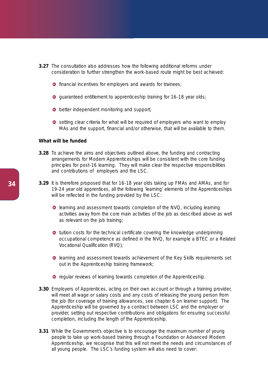- **3.27** The consultation also addresses how the following additional reforms under consideration to further strengthen the work-based route might be best achieved:
	- **O** financial incentives for employers and awards for trainees;
	- **O** quaranteed entitlement to apprenticeship training for 16-18 year olds;
	- **b** better independent monitoring and support;
	- **O** setting clear criteria for what will be required of employers who want to employ MAs and the support, financial and/or otherwise, that will be available to them.

#### **What will be funded**

- **3.28** To achieve the aims and objectives outlined above, the funding and contracting arrangements for Modern Apprenticeships will be consistent with the core funding principles for post-16 learning. They will make clear the respective responsibilities and contributions of employers and the LSC.
- **3.29** It is therefore proposed that for 16-18 year olds taking up FMAs and AMAs, and for 19-24 year old apprentices, all the following 'learning' elements of the Apprenticeships will be reflected in the funding provided by the LSC:
	- **O** learning and assessment towards completion of the NVQ, including learning activities away from the core main activities of the job as described above as well as relevant on the job training;
	- $\bullet$  tuition costs for the technical certificate covering the knowledge underpinning occupational competence as defined in the NVQ, for example a BTEC or a Related Vocational Qualification (RVQ);
	- $\bullet$  learning and assessment towards achievement of the Key Skills requirements set out in the Apprenticeship training framework;
	- **O** regular reviews of learning towards completion of the Apprenticeship.
- **3.30** Employers of Apprentices, acting on their own account or through a training provider, will meet all wage or salary costs and any costs of releasing the young person from the job (for coverage of training allowances, see chapter 6 on learner support). The Apprenticeship will be governed by a contract between LSC and the employer or provider, setting out respective contributions and obligations for ensuring successful completion, including the length of the Apprenticeship.
- **3.31** While the Government's objective is to encourage the maximum number of young people to take up work-based training through a Foundation or Advanced Modern Apprenticeship, we recognise that this will not meet the needs and circumstances of all young people. The LSC's funding system will also need to cover: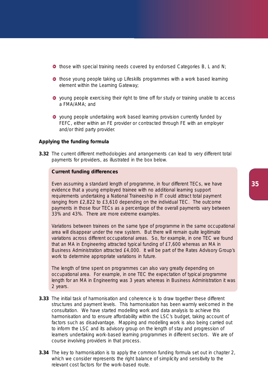- $\bullet$  those with special training needs covered by endorsed Categories B, L and N;
- **O** those young people taking up Lifeskills programmes with a work based learning element within the Learning Gateway;
- young people exercising their right to time off for study or training unable to access a FMA/AMA; and
- **O** young people undertaking work based learning provision currently funded by FEFC, either within an FE provider or contracted through FE with an employer and/or third party provider.

#### **Applying the funding formula**

**3.32** The current different methodologies and arrangements can lead to very different total payments for providers, as illustrated in the box below.

#### **Current funding differences**

Even assuming a standard length of programme, in four different TECs, we have evidence that a young employed trainee with no additional learning support requirements undertaking a National Traineeship in IT could attract total payment ranging from £2,822 to £3,610 depending on the individual TEC. The outcome payments in those four TECs as a percentage of the overall payments vary between 33% and 43%. There are more extreme examples.

Variations between trainees on the same type of programme in the same occupational area will disappear under the new system. But there will remain quite legitimate variations across different occupational areas. So, for example, in one TEC we found that an MA in Engineering attracted typical funding of £7,600 whereas an MA in Business Administration attracted £4,000. It will be part of the Rates Advisory Group's work to determine appropriate variations in future.

The length of time spent on programmes can also vary greatly depending on occupational area. For example, in one TEC the expectation of typical programme length for an MA in Engineering was 3 years whereas in Business Administration it was 2 years.

- **3.33** The initial task of harmonisation and coherence is to draw together these different structures and payment levels. This harmonisation has been warmly welcomed in the consultation. We have started modelling work and data analysis to achieve this harmonisation and to ensure affordability within the LSC's budget, taking account of factors such as disadvantage. Mapping and modelling work is also being carried out to inform the LSC and its advisory group on the length of stay and progression of learners undertaking work-based learning programmes in different sectors. We are of course involving providers in that process.
- **3.34** The key to harmonisation is to apply the common funding formula set out in chapter 2, which we consider represents the right balance of simplicity and sensitivity to the relevant cost factors for the work-based route.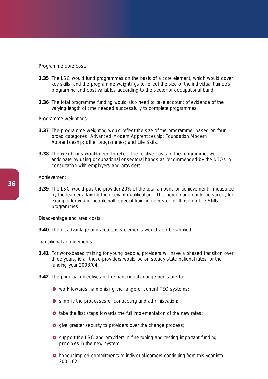#### *Programme core costs*

- **3.35** The LSC would fund programmes on the basis of a core element, which would cover key skills, and the programme weightings to reflect the size of the individual trainee's programme and cost variables according to the sector or occupational band.
- **3.36** The total programme funding would also need to take account of evidence of the varying length of time needed successfully to complete programmes.

#### *Programme weightings*

- **3.37** The programme weighting would reflect the size of the programme, based on four broad categories: Advanced Modern Apprenticeship; Foundation Modern Apprenticeship; other programmes; and Life Skills.
- **3.38** The weightings would need to reflect the relative costs of the programme, we anticipate by using occupational or sectoral bands as recommended by the NTOs in consultation with employers and providers.

#### *Achievement*

**3.39** The LSC would pay the provider 20% of the total amount for achievement - measured by the learner attaining the relevant qualification. This percentage could be varied, for example for young people with special training needs or for those on Life Skills programmes.

#### *Disadvantage and area costs*

**3.40** The disadvantage and area costs elements would also be applied.

#### *Transitional arrangements*

- **3.41** For work-based training for young people, providers will have a phased transition over three years, ie all these providers would be on steady state national rates for the funding year 2003/04.
- **3.42** The principal objectives of the transitional arrangements are to:
	- **O** work towards harmonising the range of current TEC systems;
	- **O** simplify the processes of contracting and administration;
	- $\bullet$  take the first steps towards the full implementation of the new rates;
	- **o** give greater security to providers over the change process;
	- **O** support the LSC and providers in fine tuning and testing important funding principles in the new system;
	- **•** honour implied commitments to individual learners continuing from this year into 2001-02.